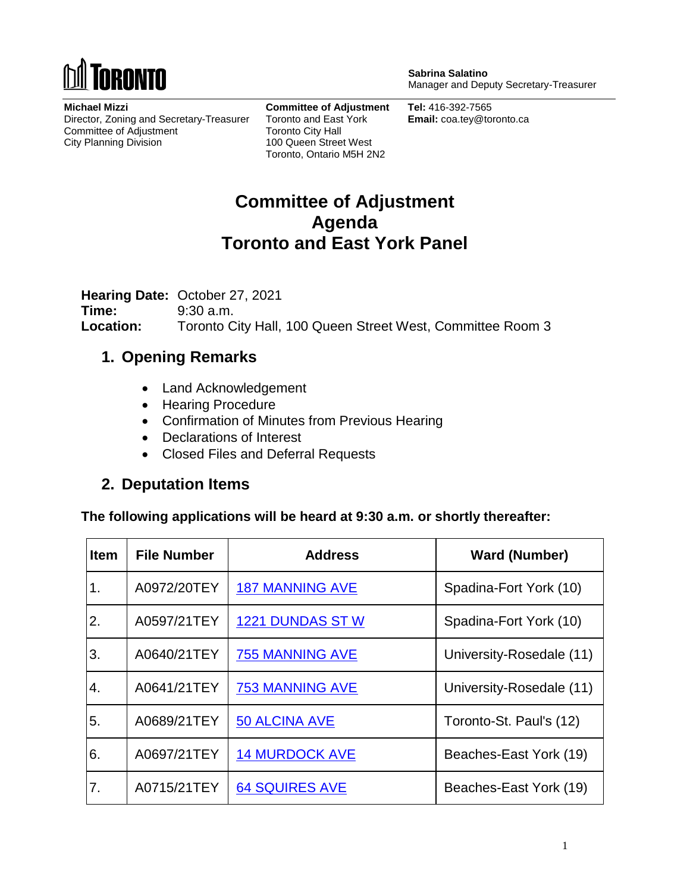

**Michael Mizzi** Director, Zoning and Secretary-Treasurer Committee of Adjustment City Planning Division

**Committee of Adjustment** Toronto and East York Toronto City Hall 100 Queen Street West Toronto, Ontario M5H 2N2

**Sabrina Salatino** Manager and Deputy Secretary-Treasurer

**Tel:** 416-392-7565 **Email:** coa.tey@toronto.ca

## **Committee of Adjustment Agenda Toronto and East York Panel**

**Hearing Date:** October 27, 2021 **Time:** 9:30 a.m. **Location:** Toronto City Hall, 100 Queen Street West, Committee Room 3

### **1. Opening Remarks**

- Land Acknowledgement
- Hearing Procedure
- Confirmation of Minutes from Previous Hearing
- Declarations of Interest
- Closed Files and Deferral Requests

### **2. Deputation Items**

**The following applications will be heard at 9:30 a.m. or shortly thereafter:**

| <b>Item</b> | <b>File Number</b> | <b>Address</b>          | <b>Ward (Number)</b>     |
|-------------|--------------------|-------------------------|--------------------------|
| 1.          | A0972/20TEY        | <b>187 MANNING AVE</b>  | Spadina-Fort York (10)   |
| 2.          | A0597/21TEY        | <b>1221 DUNDAS ST W</b> | Spadina-Fort York (10)   |
| 3.          | A0640/21TEY        | 755 MANNING AVE         | University-Rosedale (11) |
| 4.          | A0641/21TEY        | 753 MANNING AVE         | University-Rosedale (11) |
| 5.          | A0689/21TEY        | <b>50 ALCINA AVE</b>    | Toronto-St. Paul's (12)  |
| 6.          | A0697/21TEY        | <b>14 MURDOCK AVE</b>   | Beaches-East York (19)   |
| 7.          | A0715/21TEY        | <b>64 SQUIRES AVE</b>   | Beaches-East York (19)   |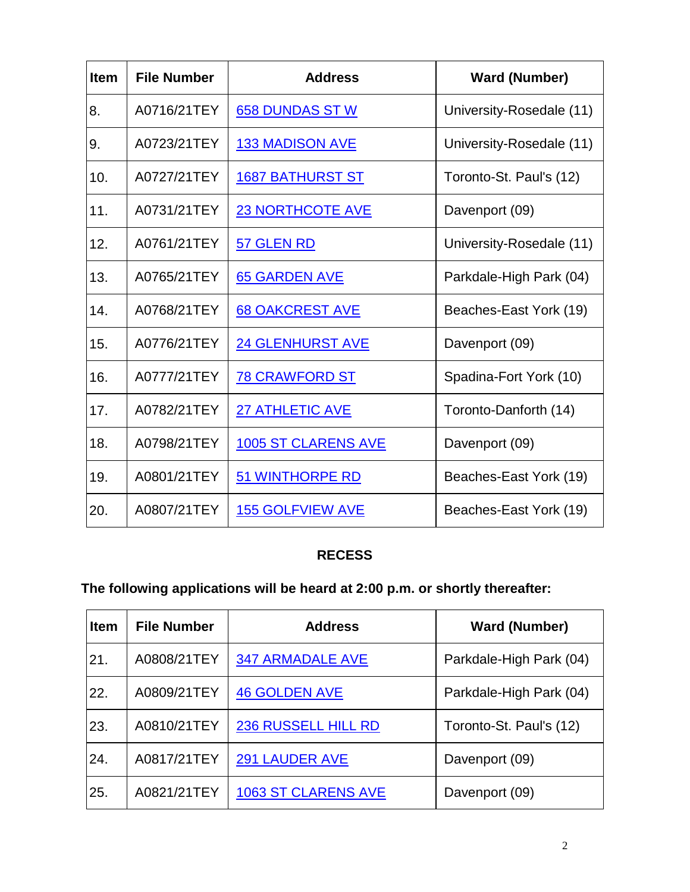| <b>Item</b> | <b>File Number</b> | <b>Address</b>             | <b>Ward (Number)</b>     |
|-------------|--------------------|----------------------------|--------------------------|
| 8.          | A0716/21TEY        | <b>658 DUNDAS ST W</b>     | University-Rosedale (11) |
| 9.          | A0723/21TEY        | <b>133 MADISON AVE</b>     | University-Rosedale (11) |
| 10.         | A0727/21TEY        | <b>1687 BATHURST ST</b>    | Toronto-St. Paul's (12)  |
| 11.         | A0731/21TEY        | <b>23 NORTHCOTE AVE</b>    | Davenport (09)           |
| 12.         | A0761/21TEY        | 57 GLEN RD                 | University-Rosedale (11) |
| 13.         | A0765/21TEY        | <b>65 GARDEN AVE</b>       | Parkdale-High Park (04)  |
| 14.         | A0768/21TEY        | <b>68 OAKCREST AVE</b>     | Beaches-East York (19)   |
| 15.         | A0776/21TEY        | <b>24 GLENHURST AVE</b>    | Davenport (09)           |
| 16.         | A0777/21TEY        | <b>78 CRAWFORD ST</b>      | Spadina-Fort York (10)   |
| 17.         | A0782/21TEY        | <b>27 ATHLETIC AVE</b>     | Toronto-Danforth (14)    |
| 18.         | A0798/21TEY        | <b>1005 ST CLARENS AVE</b> | Davenport (09)           |
| 19.         | A0801/21TEY        | <b>51 WINTHORPE RD</b>     | Beaches-East York (19)   |
| 20.         | A0807/21TEY        | <b>155 GOLFVIEW AVE</b>    | Beaches-East York (19)   |

### **RECESS**

# **The following applications will be heard at 2:00 p.m. or shortly thereafter:**

| <b>Item</b> | <b>File Number</b> | <b>Address</b>             | <b>Ward (Number)</b>    |
|-------------|--------------------|----------------------------|-------------------------|
| 21.         | A0808/21TEY        | <b>347 ARMADALE AVE</b>    | Parkdale-High Park (04) |
| 22.         | A0809/21TEY        | <b>46 GOLDEN AVE</b>       | Parkdale-High Park (04) |
| 23.         | A0810/21TEY        | 236 RUSSELL HILL RD        | Toronto-St. Paul's (12) |
| 24.         | A0817/21TEY        | <b>291 LAUDER AVE</b>      | Davenport (09)          |
| 25.         | A0821/21TEY        | <b>1063 ST CLARENS AVE</b> | Davenport (09)          |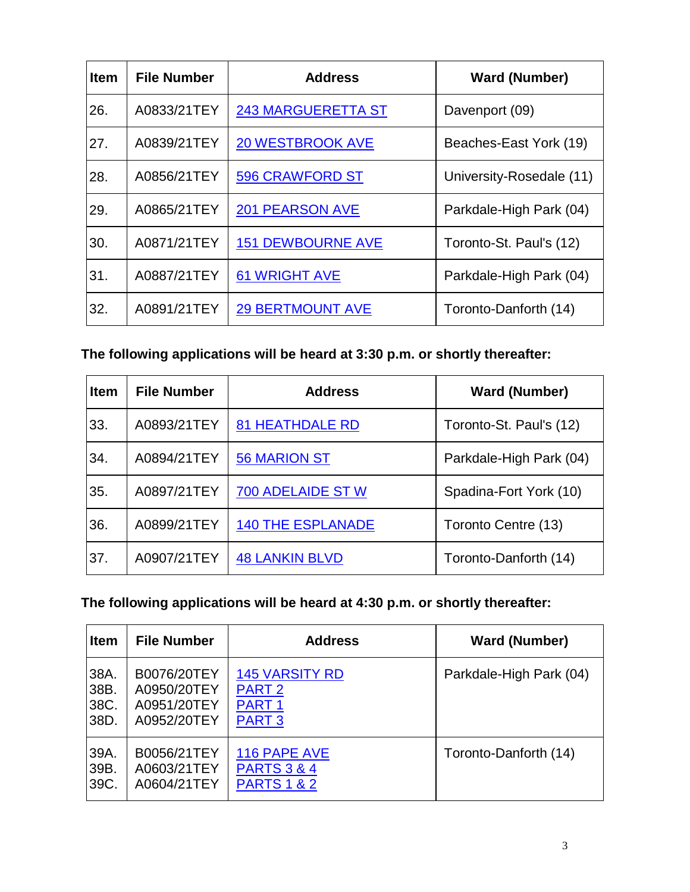| <b>Item</b> | <b>File Number</b> | <b>Address</b>            | <b>Ward (Number)</b>     |
|-------------|--------------------|---------------------------|--------------------------|
| 26.         | A0833/21TEY        | <b>243 MARGUERETTA ST</b> | Davenport (09)           |
| 27.         | A0839/21TEY        | <b>20 WESTBROOK AVE</b>   | Beaches-East York (19)   |
| 28.         | A0856/21TEY        | <b>596 CRAWFORD ST</b>    | University-Rosedale (11) |
| 29.         | A0865/21TEY        | <b>201 PEARSON AVE</b>    | Parkdale-High Park (04)  |
| 30.         | A0871/21TEY        | <b>151 DEWBOURNE AVE</b>  | Toronto-St. Paul's (12)  |
| 31.         | A0887/21TEY        | <b>61 WRIGHT AVE</b>      | Parkdale-High Park (04)  |
| 32.         | A0891/21TEY        | <b>29 BERTMOUNT AVE</b>   | Toronto-Danforth (14)    |

### **The following applications will be heard at 3:30 p.m. or shortly thereafter:**

| <b>Item</b> | <b>File Number</b> | <b>Address</b>           | <b>Ward (Number)</b>    |
|-------------|--------------------|--------------------------|-------------------------|
| 33.         | A0893/21TEY        | 81 HEATHDALE RD          | Toronto-St. Paul's (12) |
| 34.         | A0894/21TEY        | <b>56 MARION ST</b>      | Parkdale-High Park (04) |
| 35.         | A0897/21TEY        | <b>700 ADELAIDE ST W</b> | Spadina-Fort York (10)  |
| 36.         | A0899/21TEY        | <b>140 THE ESPLANADE</b> | Toronto Centre (13)     |
| 37.         | A0907/21TEY        | <b>48 LANKIN BLVD</b>    | Toronto-Danforth (14)   |

### **The following applications will be heard at 4:30 p.m. or shortly thereafter:**

| <b>Item</b> | <b>File Number</b> | <b>Address</b>         | <b>Ward (Number)</b>    |
|-------------|--------------------|------------------------|-------------------------|
| 38A.        | B0076/20TEY        | <b>145 VARSITY RD</b>  | Parkdale-High Park (04) |
| 38B.        | A0950/20TEY        | PART <sub>2</sub>      |                         |
| 38C.        | A0951/20TEY        | PART <sub>1</sub>      |                         |
| 38D.        | A0952/20TEY        | <b>PART 3</b>          |                         |
| 39A.        | B0056/21TEY        | 116 PAPE AVE           | Toronto-Danforth (14)   |
| 39B.        | A0603/21TEY        | <b>PARTS 3 &amp; 4</b> |                         |
| 39C.        | A0604/21TEY        | <b>PARTS 1 &amp; 2</b> |                         |